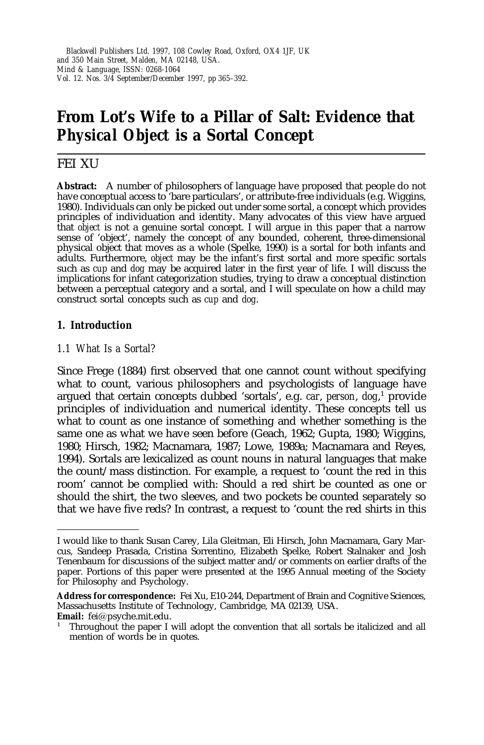# **From Lot's Wife to a Pillar of Salt: Evidence that** *Physical Object* **is a Sortal Concept**

# FEI XU

**Abstract:** A number of philosophers of language have proposed that people do not have conceptual access to 'bare particulars', or attribute-free individuals (e.g. Wiggins, 1980). Individuals can only be picked out under some sortal, a concept which provides principles of individuation and identity. Many advocates of this view have argued that *object* is not a genuine sortal concept. I will argue in this paper that a narrow sense of 'object', namely the concept of any bounded, coherent, three-dimensional physical object that moves as a whole (Spelke, 1990) is a sortal for both infants and adults. Furthermore, *object* may be the infant's first sortal and more specific sortals such as *cup* and *dog* may be acquired later in the first year of life. I will discuss the implications for infant categorization studies, trying to draw a conceptual distinction between a perceptual category and a sortal, and I will speculate on how a child may construct sortal concepts such as *cup* and *dog*.

# *1. Introduction*

#### *1.1 What Is a Sortal?*

Since Frege (1884) first observed that one cannot count without specifying what to count, various philosophers and psychologists of language have argued that certain concepts dubbed 'sortals', e.g. *car*, *person*, *dog*, <sup>1</sup> provide principles of individuation and numerical identity. These concepts tell us what to count as one instance of something and whether something is the same one as what we have seen before (Geach, 1962; Gupta, 1980; Wiggins, 1980; Hirsch, 1982; Macnamara, 1987; Lowe, 1989a; Macnamara and Reyes, 1994). Sortals are lexicalized as count nouns in natural languages that make the count/mass distinction. For example, a request to 'count the red in this room' cannot be complied with: Should a red shirt be counted as one or should the shirt, the two sleeves, and two pockets be counted separately so that we have five reds? In contrast, a request to 'count the red shirts in this

I would like to thank Susan Carey, Lila Gleitman, Eli Hirsch, John Macnamara, Gary Marcus, Sandeep Prasada, Cristina Sorrentino, Elizabeth Spelke, Robert Stalnaker and Josh Tenenbaum for discussions of the subject matter and/or comments on earlier drafts of the paper. Portions of this paper were presented at the 1995 Annual meeting of the Society for Philosophy and Psychology.

**Address for correspondence:** Fei Xu, E10-244, Department of Brain and Cognitive Sciences, Massachusetts Institute of Technology, Cambridge, MA 02139, USA.<br>Email: fei@psyche.mit.edu.

Throughout the paper I will adopt the convention that all sortals be italicized and all mention of words be in quotes.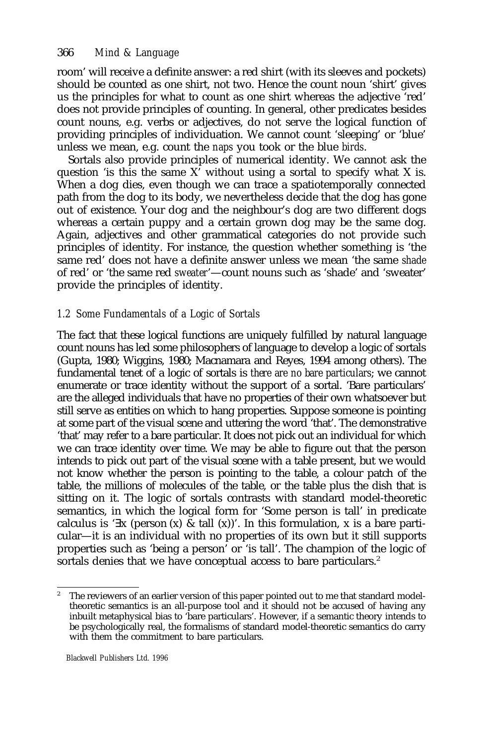room' will receive a definite answer: a red shirt (with its sleeves and pockets) should be counted as one shirt, not two. Hence the count noun 'shirt' gives us the principles for what to count as one shirt whereas the adjective 'red' does not provide principles of counting. In general, other predicates besides count nouns, e.g. verbs or adjectives, do not serve the logical function of providing principles of individuation. We cannot count 'sleeping' or 'blue' unless we mean, e.g. count the *naps* you took or the blue *birds*.

Sortals also provide principles of numerical identity. We cannot ask the question 'is this the same  $X'$  without using a sortal to specify what  $X$  is. When a dog dies, even though we can trace a spatiotemporally connected path from the dog to its body, we nevertheless decide that the dog has gone out of existence. Your dog and the neighbour's dog are two different dogs whereas a certain puppy and a certain grown dog may be the same dog. Again, adjectives and other grammatical categories do not provide such principles of identity. For instance, the question whether something is 'the same red' does not have a definite answer unless we mean 'the same *shade* of red' or 'the same red *sweater*'—count nouns such as 'shade' and 'sweater' provide the principles of identity.

# *1.2 Some Fundamentals of a Logic of Sortals*

The fact that these logical functions are uniquely fulfilled by natural language count nouns has led some philosophers of language to develop a logic of sortals (Gupta, 1980; Wiggins, 1980; Macnamara and Reyes, 1994 among others). The fundamental tenet of a logic of sortals is *there are no bare particulars*; we cannot enumerate or trace identity without the support of a sortal. 'Bare particulars' are the alleged individuals that have no properties of their own whatsoever but still serve as entities on which to hang properties. Suppose someone is pointing at some part of the visual scene and uttering the word 'that'. The demonstrative 'that' may refer to a bare particular. It does not pick out an individual for which we can trace identity over time. We may be able to figure out that the person intends to pick out part of the visual scene with a table present, but we would not know whether the person is pointing to the table, a colour patch of the table, the millions of molecules of the table, or the table plus the dish that is sitting on it. The logic of sortals contrasts with standard model-theoretic semantics, in which the logical form for 'Some person is tall' in predicate calculus is ' $\exists x$  (person (x) & tall (x))'. In this formulation, x is a bare particular—it is an individual with no properties of its own but it still supports properties such as 'being a person' or 'is tall'. The champion of the logic of sortals denies that we have conceptual access to bare particulars.<sup>2</sup>

The reviewers of an earlier version of this paper pointed out to me that standard modeltheoretic semantics is an all-purpose tool and it should not be accused of having any inbuilt metaphysical bias to 'bare particulars'. However, if a semantic theory intends to be psychologically real, the formalisms of standard model-theoretic semantics do carry with them the commitment to bare particulars.

*Blackwell Publishers Ltd. 1996*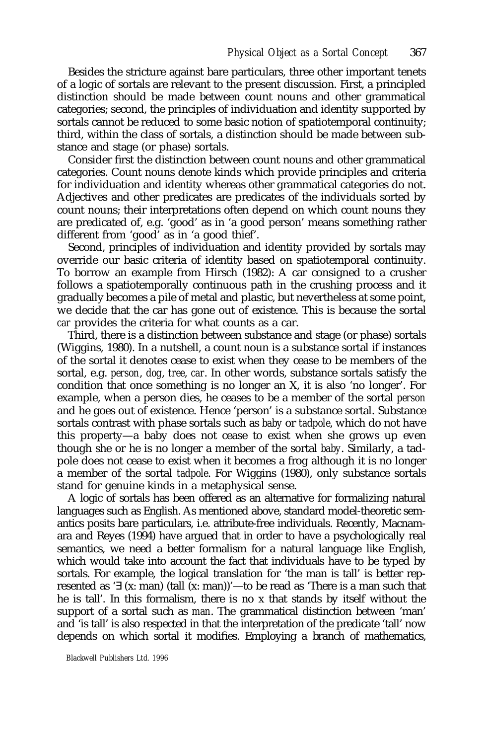Besides the stricture against bare particulars, three other important tenets of a logic of sortals are relevant to the present discussion. First, a principled distinction should be made between count nouns and other grammatical categories; second, the principles of individuation and identity supported by sortals cannot be reduced to some basic notion of spatiotemporal continuity; third, within the class of sortals, a distinction should be made between substance and stage (or phase) sortals.

Consider first the distinction between count nouns and other grammatical categories. Count nouns denote kinds which provide principles and criteria for individuation and identity whereas other grammatical categories do not. Adjectives and other predicates are predicates of the individuals sorted by count nouns; their interpretations often depend on which count nouns they are predicated of, e.g. 'good' as in 'a good person' means something rather different from 'good' as in 'a good thief'.

Second, principles of individuation and identity provided by sortals may override our basic criteria of identity based on spatiotemporal continuity. To borrow an example from Hirsch (1982): A car consigned to a crusher follows a spatiotemporally continuous path in the crushing process and it gradually becomes a pile of metal and plastic, but nevertheless at some point, we decide that the car has gone out of existence. This is because the sortal *car* provides the criteria for what counts as a car.

Third, there is a distinction between substance and stage (or phase) sortals (Wiggins, 1980). In a nutshell, a count noun is a substance sortal if instances of the sortal it denotes cease to exist when they cease to be members of the sortal, e.g. *person*, *dog*, *tree*, *car*. In other words, substance sortals satisfy the condition that once something is no longer an X, it is also 'no longer'. For example, when a person dies, he ceases to be a member of the sortal *person* and he goes out of existence. Hence 'person' is a substance sortal. Substance sortals contrast with phase sortals such as *baby* or *tadpole*, which do not have this property—a baby does not cease to exist when she grows up even though she or he is no longer a member of the sortal *baby*. Similarly, a tadpole does not cease to exist when it becomes a frog although it is no longer a member of the sortal *tadpole*. For Wiggins (1980), only substance sortals stand for genuine kinds in a metaphysical sense.

A logic of sortals has been offered as an alternative for formalizing natural languages such as English. As mentioned above, standard model-theoretic semantics posits bare particulars, i.e. attribute-free individuals. Recently, Macnamara and Reyes (1994) have argued that in order to have a psychologically real semantics, we need a better formalism for a natural language like English, which would take into account the fact that individuals have to be typed by sortals. For example, the logical translation for 'the man is tall' is better represented as '∃ (x: man) (tall (x: man))'—to be read as 'There is a man such that he is tall'. In this formalism, there is no x that stands by itself without the support of a sortal such as *man*. The grammatical distinction between 'man' and 'is tall' is also respected in that the interpretation of the predicate 'tall' now depends on which sortal it modifies. Employing a branch of mathematics,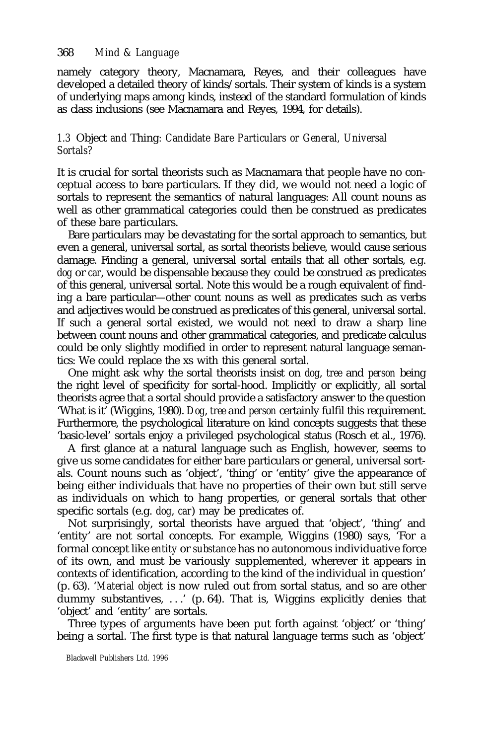namely category theory, Macnamara, Reyes, and their colleagues have developed a detailed theory of kinds/sortals. Their system of kinds is a system of underlying maps among kinds, instead of the standard formulation of kinds as class inclusions (see Macnamara and Reyes, 1994, for details).

# *1.3* Object *and* Thing*: Candidate Bare Particulars or General, Universal Sortals?*

It is crucial for sortal theorists such as Macnamara that people have no conceptual access to bare particulars. If they did, we would not need a logic of sortals to represent the semantics of natural languages: All count nouns as well as other grammatical categories could then be construed as predicates of these bare particulars.

Bare particulars may be devastating for the sortal approach to semantics, but even a general, universal sortal, as sortal theorists believe, would cause serious damage. Finding a general, universal sortal entails that all other sortals, e.g. *dog* or *car*, would be dispensable because they could be construed as predicates of this general, universal sortal. Note this would be a rough equivalent of finding a bare particular—other count nouns as well as predicates such as verbs and adjectives would be construed as predicates of this general, universal sortal. If such a general sortal existed, we would not need to draw a sharp line between count nouns and other grammatical categories, and predicate calculus could be only slightly modified in order to represent natural language semantics: We could replace the xs with this general sortal.

One might ask why the sortal theorists insist on *dog*, *tree* and *person* being the right level of specificity for sortal-hood. Implicitly or explicitly, all sortal theorists agree that a sortal should provide a satisfactory answer to the question 'What is it' (Wiggins, 1980). *Dog*, *tree* and *person* certainly fulfil this requirement. Furthermore, the psychological literature on kind concepts suggests that these 'basic-level' sortals enjoy a privileged psychological status (Rosch et al., 1976).

A first glance at a natural language such as English, however, seems to give us some candidates for either bare particulars or general, universal sortals. Count nouns such as 'object', 'thing' or 'entity' give the appearance of being either individuals that have no properties of their own but still serve as individuals on which to hang properties, or general sortals that other specific sortals (e.g. *dog*, *car*) may be predicates of.

Not surprisingly, sortal theorists have argued that 'object', 'thing' and 'entity' are not sortal concepts. For example, Wiggins (1980) says, 'For a formal concept like *entity* or *substance* has no autonomous individuative force of its own, and must be variously supplemented, wherever it appears in contexts of identification, according to the kind of the individual in question' (p. 63). '*Material object* is now ruled out from sortal status, and so are other dummy substantives, . . .' (p. 64). That is, Wiggins explicitly denies that 'object' and 'entity' are sortals.

Three types of arguments have been put forth against 'object' or 'thing' being a sortal. The first type is that natural language terms such as 'object'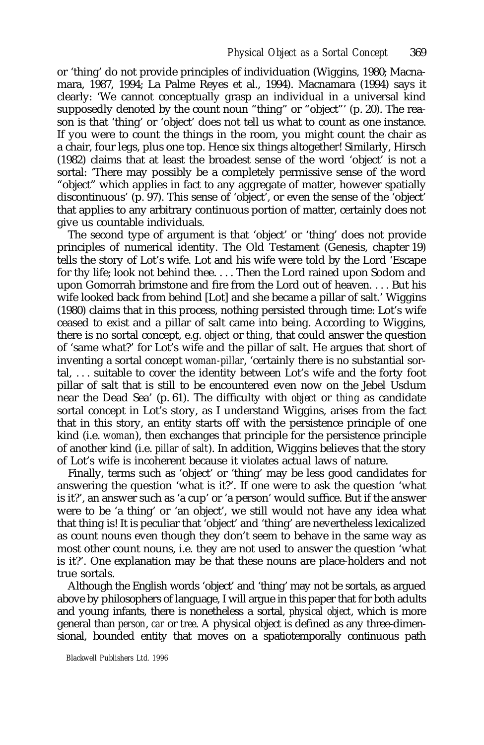or 'thing' do not provide principles of individuation (Wiggins, 1980; Macnamara, 1987, 1994; La Palme Reyes et al., 1994). Macnamara (1994) says it clearly: 'We cannot conceptually grasp an individual in a universal kind supposedly denoted by the count noun "thing" or "object"' (p. 20). The reason is that 'thing' or 'object' does not tell us what to count as one instance. If you were to count the things in the room, you might count the chair as a chair, four legs, plus one top. Hence six things altogether! Similarly, Hirsch (1982) claims that at least the broadest sense of the word 'object' is not a sortal: 'There may possibly be a completely permissive sense of the word "object" which applies in fact to any aggregate of matter, however spatially discontinuous' (p. 97). This sense of 'object', or even the sense of the 'object' that applies to any arbitrary continuous portion of matter, certainly does not give us countable individuals.

The second type of argument is that 'object' or 'thing' does not provide principles of numerical identity. The Old Testament (Genesis, chapter 19) tells the story of Lot's wife. Lot and his wife were told by the Lord 'Escape for thy life; look not behind thee. . . . Then the Lord rained upon Sodom and upon Gomorrah brimstone and fire from the Lord out of heaven. . . . But his wife looked back from behind [Lot] and she became a pillar of salt.' Wiggins (1980) claims that in this process, nothing persisted through time: Lot's wife ceased to exist and a pillar of salt came into being. According to Wiggins, there is no sortal concept, e.g. *object* or *thing*, that could answer the question of 'same what?' for Lot's wife and the pillar of salt. He argues that short of inventing a sortal concept *woman-pillar*, 'certainly there is no substantial sortal, . . . suitable to cover the identity between Lot's wife and the forty foot pillar of salt that is still to be encountered even now on the Jebel Usdum near the Dead Sea' (p. 61). The difficulty with *object* or *thing* as candidate sortal concept in Lot's story, as I understand Wiggins, arises from the fact that in this story, an entity starts off with the persistence principle of one kind (i.e. *woman*), then exchanges that principle for the persistence principle of another kind (i.e. *pillar of salt*). In addition, Wiggins believes that the story of Lot's wife is incoherent because it violates actual laws of nature.

Finally, terms such as 'object' or 'thing' may be less good candidates for answering the question 'what is it?'. If one were to ask the question 'what is it?', an answer such as 'a cup' or 'a person' would suffice. But if the answer were to be 'a thing' or 'an object', we still would not have any idea what that thing is! It is peculiar that 'object' and 'thing' are nevertheless lexicalized as count nouns even though they don't seem to behave in the same way as most other count nouns, i.e. they are not used to answer the question 'what is it?'. One explanation may be that these nouns are place-holders and not true sortals.

Although the English words 'object' and 'thing' may not be sortals, as argued above by philosophers of language, I will argue in this paper that for both adults and young infants, there is nonetheless a sortal, *physical object*, which is more general than *person*, *car* or *tree*. A physical object is defined as any three-dimensional, bounded entity that moves on a spatiotemporally continuous path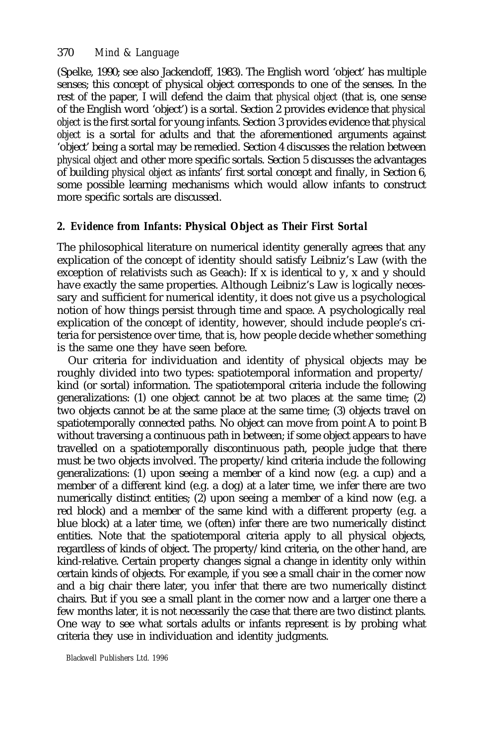# 370 *Mind & Language*

(Spelke, 1990; see also Jackendoff, 1983). The English word 'object' has multiple senses; this concept of physical object corresponds to one of the senses. In the rest of the paper, I will defend the claim that *physical object* (that is, one sense of the English word 'object') is a sortal. Section 2 provides evidence that *physical object* is the first sortal for young infants. Section 3 provides evidence that *physical object* is a sortal for adults and that the aforementioned arguments against 'object' being a sortal may be remedied. Section 4 discusses the relation between *physical object* and other more specific sortals. Section 5 discusses the advantages of building *physical object* as infants' first sortal concept and finally, in Section 6, some possible learning mechanisms which would allow infants to construct more specific sortals are discussed.

# *2. Evidence from Infants:* **Physical Object** *as Their First Sortal*

The philosophical literature on numerical identity generally agrees that any explication of the concept of identity should satisfy Leibniz's Law (with the exception of relativists such as Geach): If x is identical to y, x and y should have exactly the same properties. Although Leibniz's Law is logically necessary and sufficient for numerical identity, it does not give us a psychological notion of how things persist through time and space. A psychologically real explication of the concept of identity, however, should include people's criteria for persistence over time, that is, how people decide whether something is the same one they have seen before.

Our criteria for individuation and identity of physical objects may be roughly divided into two types: spatiotemporal information and property/ kind (or sortal) information. The spatiotemporal criteria include the following generalizations: (1) one object cannot be at two places at the same time; (2) two objects cannot be at the same place at the same time; (3) objects travel on spatiotemporally connected paths. No object can move from point A to point B without traversing a continuous path in between; if some object appears to have travelled on a spatiotemporally discontinuous path, people judge that there must be two objects involved. The property/kind criteria include the following generalizations: (1) upon seeing a member of a kind now (e.g. a cup) and a member of a different kind (e.g. a dog) at a later time, we infer there are two numerically distinct entities; (2) upon seeing a member of a kind now (e.g. a red block) and a member of the same kind with a different property (e.g. a blue block) at a later time, we (often) infer there are two numerically distinct entities. Note that the spatiotemporal criteria apply to all physical objects, regardless of kinds of object. The property/kind criteria, on the other hand, are kind-relative. Certain property changes signal a change in identity only within certain kinds of objects. For example, if you see a small chair in the corner now and a big chair there later, you infer that there are two numerically distinct chairs. But if you see a small plant in the corner now and a larger one there a few months later, it is not necessarily the case that there are two distinct plants. One way to see what sortals adults or infants represent is by probing what criteria they use in individuation and identity judgments.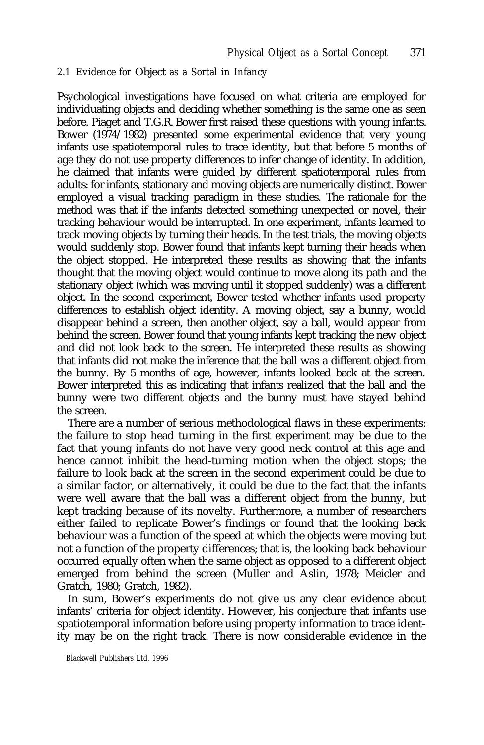## *2.1 Evidence for* Object *as a Sortal in Infancy*

Psychological investigations have focused on what criteria are employed for individuating objects and deciding whether something is the same one as seen before. Piaget and T.G.R. Bower first raised these questions with young infants. Bower (1974/1982) presented some experimental evidence that very young infants use spatiotemporal rules to trace identity, but that before 5 months of age they do not use property differences to infer change of identity. In addition, he claimed that infants were guided by different spatiotemporal rules from adults: for infants, stationary and moving objects are numerically distinct. Bower employed a visual tracking paradigm in these studies. The rationale for the method was that if the infants detected something unexpected or novel, their tracking behaviour would be interrupted. In one experiment, infants learned to track moving objects by turning their heads. In the test trials, the moving objects would suddenly stop. Bower found that infants kept turning their heads when the object stopped. He interpreted these results as showing that the infants thought that the moving object would continue to move along its path and the stationary object (which was moving until it stopped suddenly) was a different object. In the second experiment, Bower tested whether infants used property differences to establish object identity. A moving object, say a bunny, would disappear behind a screen, then another object, say a ball, would appear from behind the screen. Bower found that young infants kept tracking the new object and did not look back to the screen. He interpreted these results as showing that infants did not make the inference that the ball was a different object from the bunny. By 5 months of age, however, infants looked back at the screen. Bower interpreted this as indicating that infants realized that the ball and the bunny were two different objects and the bunny must have stayed behind the screen.

There are a number of serious methodological flaws in these experiments: the failure to stop head turning in the first experiment may be due to the fact that young infants do not have very good neck control at this age and hence cannot inhibit the head-turning motion when the object stops; the failure to look back at the screen in the second experiment could be due to a similar factor, or alternatively, it could be due to the fact that the infants were well aware that the ball was a different object from the bunny, but kept tracking because of its novelty. Furthermore, a number of researchers either failed to replicate Bower's findings or found that the looking back behaviour was a function of the speed at which the objects were moving but not a function of the property differences; that is, the looking back behaviour occurred equally often when the same object as opposed to a different object emerged from behind the screen (Muller and Aslin, 1978; Meicler and Gratch, 1980; Gratch, 1982).

In sum, Bower's experiments do not give us any clear evidence about infants' criteria for object identity. However, his conjecture that infants use spatiotemporal information before using property information to trace identity may be on the right track. There is now considerable evidence in the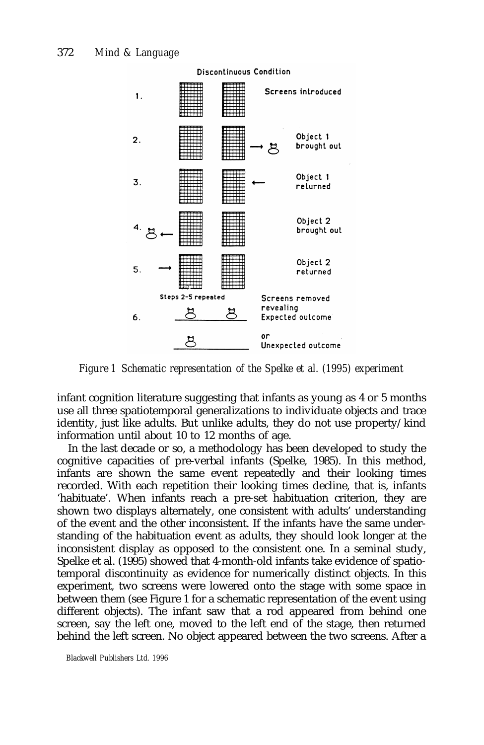

#### Discontinuous Condition

*Figure 1 Schematic representation of the Spelke et al. (1995) experiment*

infant cognition literature suggesting that infants as young as 4 or 5 months use all three spatiotemporal generalizations to individuate objects and trace identity, just like adults. But unlike adults, they do not use property/kind information until about 10 to 12 months of age.

In the last decade or so, a methodology has been developed to study the cognitive capacities of pre-verbal infants (Spelke, 1985). In this method, infants are shown the same event repeatedly and their looking times recorded. With each repetition their looking times decline, that is, infants 'habituate'. When infants reach a pre-set habituation criterion, they are shown two displays alternately, one consistent with adults' understanding of the event and the other inconsistent. If the infants have the same understanding of the habituation event as adults, they should look longer at the inconsistent display as opposed to the consistent one. In a seminal study, Spelke et al. (1995) showed that 4-month-old infants take evidence of spatiotemporal discontinuity as evidence for numerically distinct objects. In this experiment, two screens were lowered onto the stage with some space in between them (see Figure 1 for a schematic representation of the event using different objects). The infant saw that a rod appeared from behind one screen, say the left one, moved to the left end of the stage, then returned behind the left screen. No object appeared between the two screens. After a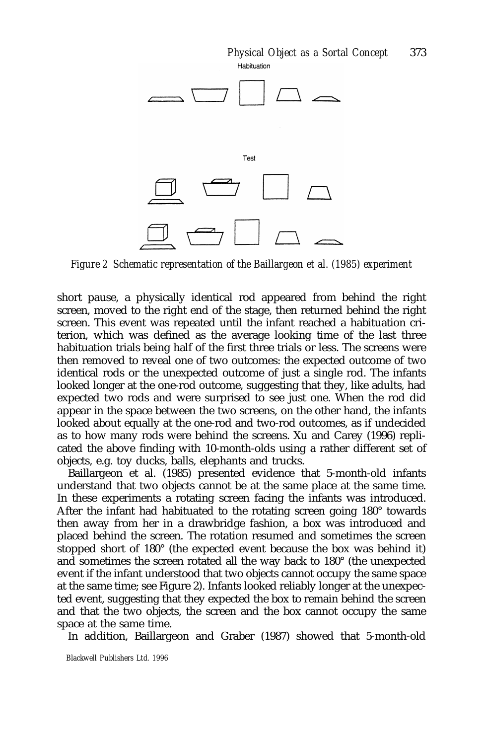

*Figure 2 Schematic representation of the Baillargeon et al. (1985) experiment*

short pause, a physically identical rod appeared from behind the right screen, moved to the right end of the stage, then returned behind the right screen. This event was repeated until the infant reached a habituation criterion, which was defined as the average looking time of the last three habituation trials being half of the first three trials or less. The screens were then removed to reveal one of two outcomes: the expected outcome of two identical rods or the unexpected outcome of just a single rod. The infants looked longer at the one-rod outcome, suggesting that they, like adults, had expected two rods and were surprised to see just one. When the rod did appear in the space between the two screens, on the other hand, the infants looked about equally at the one-rod and two-rod outcomes, as if undecided as to how many rods were behind the screens. Xu and Carey (1996) replicated the above finding with 10-month-olds using a rather different set of objects, e.g. toy ducks, balls, elephants and trucks.

Baillargeon et al. (1985) presented evidence that 5-month-old infants understand that two objects cannot be at the same place at the same time. In these experiments a rotating screen facing the infants was introduced. After the infant had habituated to the rotating screen going 180° towards then away from her in a drawbridge fashion, a box was introduced and placed behind the screen. The rotation resumed and sometimes the screen stopped short of 180° (the expected event because the box was behind it) and sometimes the screen rotated all the way back to 180° (the unexpected event if the infant understood that two objects cannot occupy the same space at the same time; see Figure 2). Infants looked reliably longer at the unexpected event, suggesting that they expected the box to remain behind the screen and that the two objects, the screen and the box cannot occupy the same space at the same time.

In addition, Baillargeon and Graber (1987) showed that 5-month-old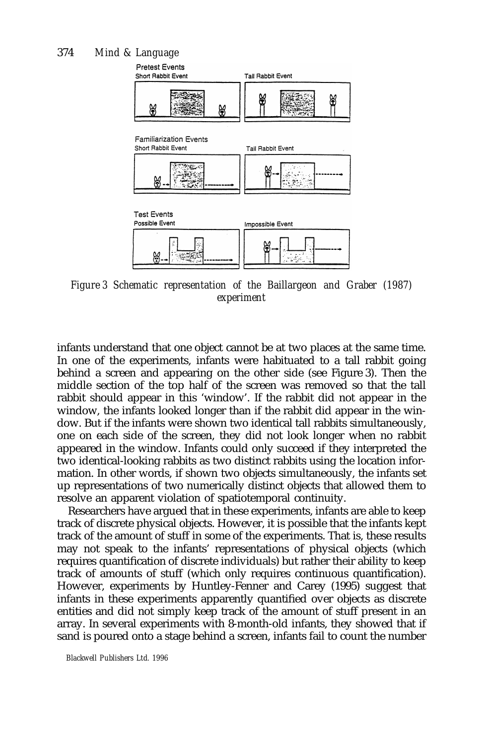# 374 *Mind & Language*



*Figure 3 Schematic representation of the Baillargeon and Graber (1987) experiment*

infants understand that one object cannot be at two places at the same time. In one of the experiments, infants were habituated to a tall rabbit going behind a screen and appearing on the other side (see Figure 3). Then the middle section of the top half of the screen was removed so that the tall rabbit should appear in this 'window'. If the rabbit did not appear in the window, the infants looked longer than if the rabbit did appear in the window. But if the infants were shown two identical tall rabbits simultaneously, one on each side of the screen, they did not look longer when no rabbit appeared in the window. Infants could only succeed if they interpreted the two identical-looking rabbits as two distinct rabbits using the location information. In other words, if shown two objects simultaneously, the infants set up representations of two numerically distinct objects that allowed them to resolve an apparent violation of spatiotemporal continuity.

Researchers have argued that in these experiments, infants are able to keep track of discrete physical objects. However, it is possible that the infants kept track of the amount of stuff in some of the experiments. That is, these results may not speak to the infants' representations of physical objects (which requires quantification of discrete individuals) but rather their ability to keep track of amounts of stuff (which only requires continuous quantification). However, experiments by Huntley-Fenner and Carey (1995) suggest that infants in these experiments apparently quantified over objects as discrete entities and did not simply keep track of the amount of stuff present in an array. In several experiments with 8-month-old infants, they showed that if sand is poured onto a stage behind a screen, infants fail to count the number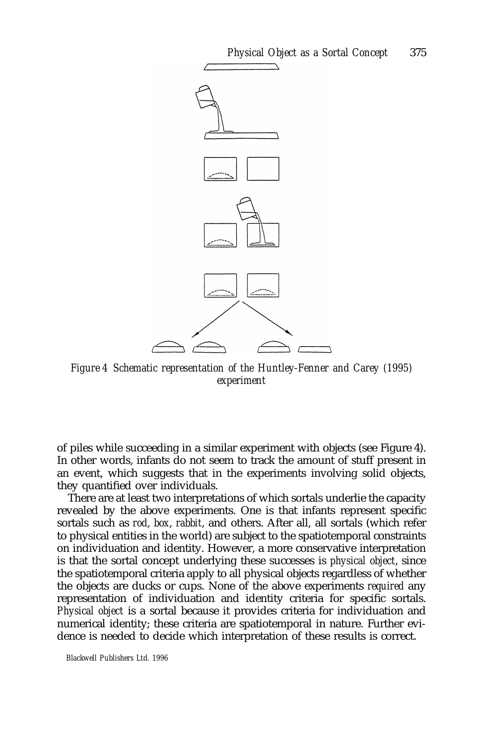

*Figure 4 Schematic representation of the Huntley-Fenner and Carey (1995) experiment*

of piles while succeeding in a similar experiment with objects (see Figure 4). In other words, infants do not seem to track the amount of stuff present in an event, which suggests that in the experiments involving solid objects, they quantified over individuals.

There are at least two interpretations of which sortals underlie the capacity revealed by the above experiments. One is that infants represent specific sortals such as *rod*, *box*, *rabbit*, and others. After all, all sortals (which refer to physical entities in the world) are subject to the spatiotemporal constraints on individuation and identity. However, a more conservative interpretation is that the sortal concept underlying these successes is *physical object*, since the spatiotemporal criteria apply to all physical objects regardless of whether the objects are ducks or cups. None of the above experiments *required* any representation of individuation and identity criteria for specific sortals. *Physical object* is a sortal because it provides criteria for individuation and numerical identity; these criteria are spatiotemporal in nature. Further evidence is needed to decide which interpretation of these results is correct.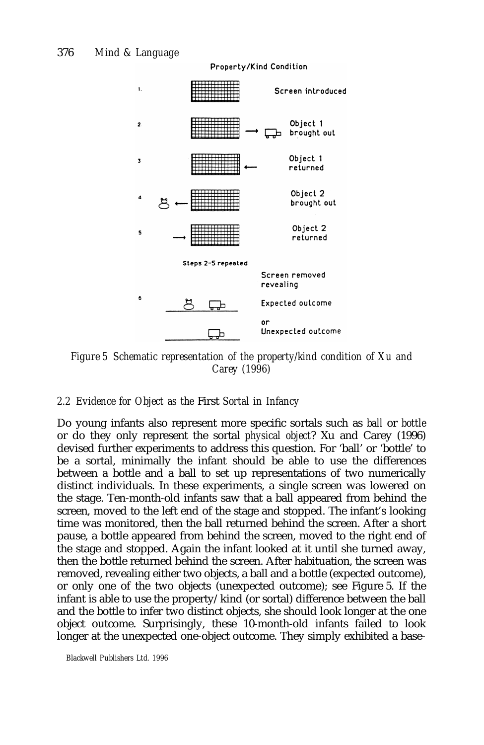

Property/Kind Condition

*Figure 5 Schematic representation of the property/kind condition of Xu and Carey (1996)*

#### *2.2 Evidence for Object as the* First *Sortal in Infancy*

Do young infants also represent more specific sortals such as *ball* or *bottle* or do they only represent the sortal *physical object*? Xu and Carey (1996) devised further experiments to address this question. For 'ball' or 'bottle' to be a sortal, minimally the infant should be able to use the differences between a bottle and a ball to set up representations of two numerically distinct individuals. In these experiments, a single screen was lowered on the stage. Ten-month-old infants saw that a ball appeared from behind the screen, moved to the left end of the stage and stopped. The infant's looking time was monitored, then the ball returned behind the screen. After a short pause, a bottle appeared from behind the screen, moved to the right end of the stage and stopped. Again the infant looked at it until she turned away, then the bottle returned behind the screen. After habituation, the screen was removed, revealing either two objects, a ball and a bottle (expected outcome), or only one of the two objects (unexpected outcome); see Figure 5. If the infant is able to use the property/kind (or sortal) difference between the ball and the bottle to infer two distinct objects, she should look longer at the one object outcome. Surprisingly, these 10-month-old infants failed to look longer at the unexpected one-object outcome. They simply exhibited a base-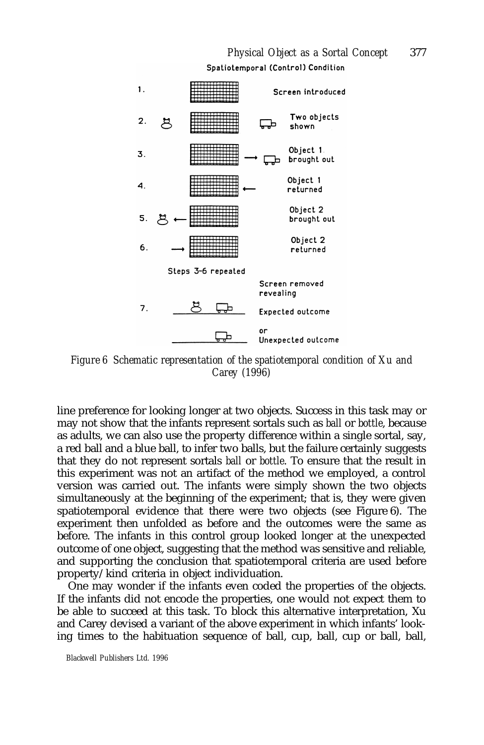Spatiotemporal (Control) Condition



*Figure 6 Schematic representation of the spatiotemporal condition of Xu and Carey (1996)*

line preference for looking longer at two objects. Success in this task may or may not show that the infants represent sortals such as *ball* or *bottle*, because as adults, we can also use the property difference within a single sortal, say, a red ball and a blue ball, to infer two balls, but the failure certainly suggests that they do not represent sortals *ball* or *bottle*. To ensure that the result in this experiment was not an artifact of the method we employed, a control version was carried out. The infants were simply shown the two objects simultaneously at the beginning of the experiment; that is, they were given spatiotemporal evidence that there were two objects (see Figure 6). The experiment then unfolded as before and the outcomes were the same as before. The infants in this control group looked longer at the unexpected outcome of one object, suggesting that the method was sensitive and reliable, and supporting the conclusion that spatiotemporal criteria are used before property/kind criteria in object individuation.

One may wonder if the infants even coded the properties of the objects. If the infants did not encode the properties, one would not expect them to be able to succeed at this task. To block this alternative interpretation, Xu and Carey devised a variant of the above experiment in which infants' looking times to the habituation sequence of ball, cup, ball, cup or ball, ball,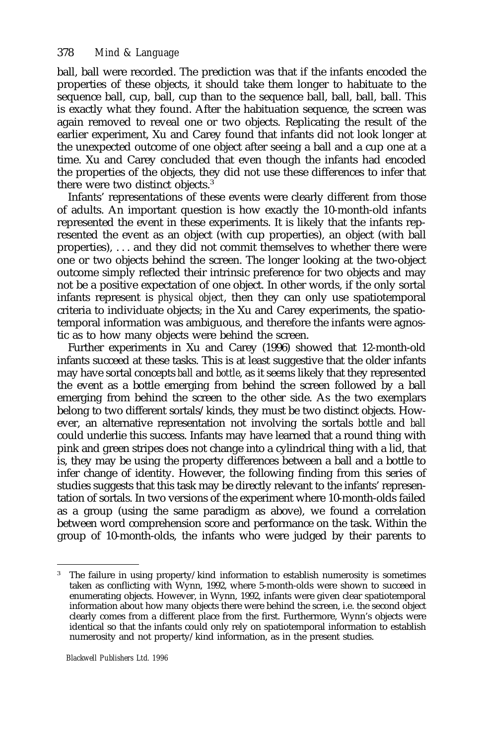ball, ball were recorded. The prediction was that if the infants encoded the properties of these objects, it should take them longer to habituate to the sequence ball, cup, ball, cup than to the sequence ball, ball, ball, ball. This is exactly what they found. After the habituation sequence, the screen was again removed to reveal one or two objects. Replicating the result of the earlier experiment, Xu and Carey found that infants did not look longer at the unexpected outcome of one object after seeing a ball and a cup one at a time. Xu and Carey concluded that even though the infants had encoded the properties of the objects, they did not use these differences to infer that there were two distinct objects.<sup>3</sup>

Infants' representations of these events were clearly different from those of adults. An important question is how exactly the 10-month-old infants represented the event in these experiments. It is likely that the infants represented the event as an object (with cup properties), an object (with ball properties), . . . and they did not commit themselves to whether there were one or two objects behind the screen. The longer looking at the two-object outcome simply reflected their intrinsic preference for two objects and may not be a positive expectation of one object. In other words, if the only sortal infants represent is *physical object*, then they can only use spatiotemporal criteria to individuate objects; in the Xu and Carey experiments, the spatiotemporal information was ambiguous, and therefore the infants were agnostic as to how many objects were behind the screen.

Further experiments in Xu and Carey (1996) showed that 12-month-old infants succeed at these tasks. This is at least suggestive that the older infants may have sortal concepts *ball* and *bottle*, as it seems likely that they represented the event as a bottle emerging from behind the screen followed by a ball emerging from behind the screen to the other side. As the two exemplars belong to two different sortals/kinds, they must be two distinct objects. However, an alternative representation not involving the sortals *bottle* and *ball* could underlie this success. Infants may have learned that a round thing with pink and green stripes does not change into a cylindrical thing with a lid, that is, they may be using the property differences between a ball and a bottle to infer change of identity. However, the following finding from this series of studies suggests that this task may be directly relevant to the infants' representation of sortals. In two versions of the experiment where 10-month-olds failed as a group (using the same paradigm as above), we found a correlation between word comprehension score and performance on the task. Within the group of 10-month-olds, the infants who were judged by their parents to

<sup>3</sup> The failure in using property/kind information to establish numerosity is sometimes taken as conflicting with Wynn, 1992, where 5-month-olds were shown to succeed in enumerating objects. However, in Wynn, 1992, infants were given clear spatiotemporal information about how many objects there were behind the screen, i.e. the second object clearly comes from a different place from the first. Furthermore, Wynn's objects were identical so that the infants could only rely on spatiotemporal information to establish numerosity and not property/kind information, as in the present studies.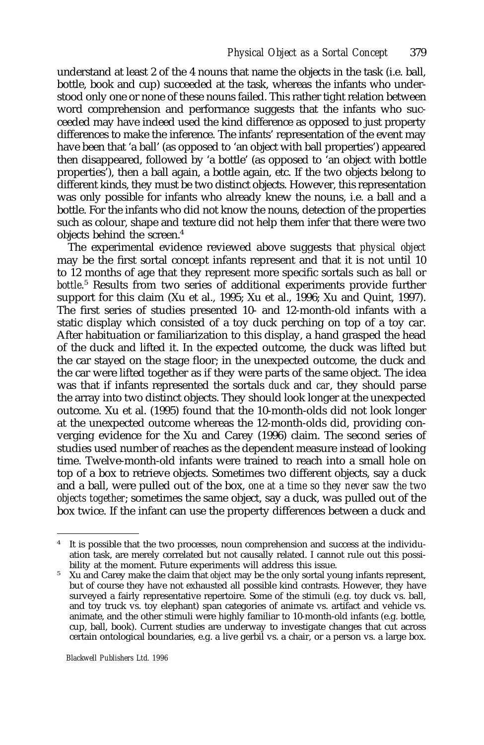understand at least 2 of the 4 nouns that name the objects in the task (i.e. ball, bottle, book and cup) succeeded at the task, whereas the infants who understood only one or none of these nouns failed. This rather tight relation between word comprehension and performance suggests that the infants who succeeded may have indeed used the kind difference as opposed to just property differences to make the inference. The infants' representation of the event may have been that 'a ball' (as opposed to 'an object with ball properties') appeared then disappeared, followed by 'a bottle' (as opposed to 'an object with bottle properties'), then a ball again, a bottle again, etc. If the two objects belong to different kinds, they must be two distinct objects. However, this representation was only possible for infants who already knew the nouns, i.e. a ball and a bottle. For the infants who did not know the nouns, detection of the properties such as colour, shape and texture did not help them infer that there were two objects behind the screen.4

The experimental evidence reviewed above suggests that *physical object* may be the first sortal concept infants represent and that it is not until 10 to 12 months of age that they represent more specific sortals such as *ball* or *bottle*. <sup>5</sup> Results from two series of additional experiments provide further support for this claim (Xu et al., 1995; Xu et al., 1996; Xu and Quint, 1997). The first series of studies presented 10- and 12-month-old infants with a static display which consisted of a toy duck perching on top of a toy car. After habituation or familiarization to this display, a hand grasped the head of the duck and lifted it. In the expected outcome, the duck was lifted but the car stayed on the stage floor; in the unexpected outcome, the duck and the car were lifted together as if they were parts of the same object. The idea was that if infants represented the sortals *duck* and *car*, they should parse the array into two distinct objects. They should look longer at the unexpected outcome. Xu et al. (1995) found that the 10-month-olds did not look longer at the unexpected outcome whereas the 12-month-olds did, providing converging evidence for the Xu and Carey (1996) claim. The second series of studies used number of reaches as the dependent measure instead of looking time. Twelve-month-old infants were trained to reach into a small hole on top of a box to retrieve objects. Sometimes two different objects, say a duck and a ball, were pulled out of the box, *one at a time so they never saw the two objects together*; sometimes the same object, say a duck, was pulled out of the box twice. If the infant can use the property differences between a duck and

<sup>4</sup> It is possible that the two processes, noun comprehension and success at the individuation task, are merely correlated but not causally related. I cannot rule out this possi-

<sup>&</sup>lt;sup>5</sup> Xu and Carey make the claim that *object* may be the only sortal young infants represent, but of course they have not exhausted all possible kind contrasts. However, they have surveyed a fairly representative repertoire. Some of the stimuli (e.g. toy duck vs. ball, and toy truck vs. toy elephant) span categories of animate vs. artifact and vehicle vs. animate, and the other stimuli were highly familiar to 10-month-old infants (e.g. bottle, cup, ball, book). Current studies are underway to investigate changes that cut across certain ontological boundaries, e.g. a live gerbil vs. a chair, or a person vs. a large box.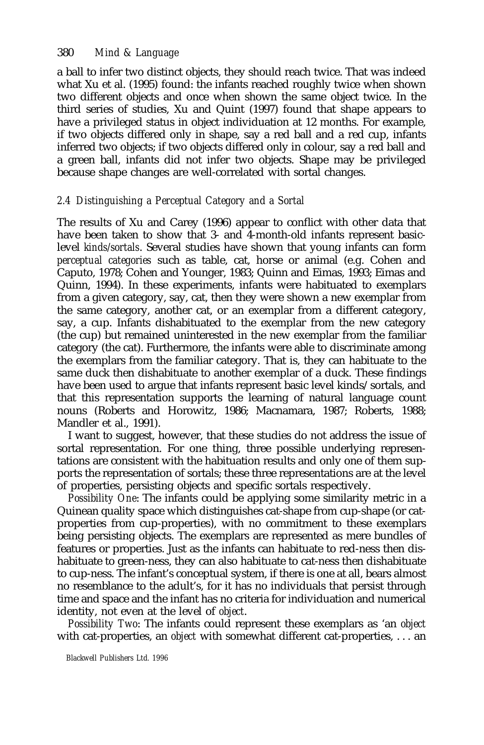a ball to infer two distinct objects, they should reach twice. That was indeed what Xu et al. (1995) found: the infants reached roughly twice when shown two different objects and once when shown the same object twice. In the third series of studies, Xu and Quint (1997) found that shape appears to have a privileged status in object individuation at 12 months. For example, if two objects differed only in shape, say a red ball and a red cup, infants inferred two objects; if two objects differed only in colour, say a red ball and a green ball, infants did not infer two objects. Shape may be privileged because shape changes are well-correlated with sortal changes.

# *2.4 Distinguishing a Perceptual Category and a Sortal*

The results of Xu and Carey (1996) appear to conflict with other data that have been taken to show that 3- and 4-month-old infants represent basiclevel *kinds/sortals*. Several studies have shown that young infants can form *perceptual categories* such as table, cat, horse or animal (e.g. Cohen and Caputo, 1978; Cohen and Younger, 1983; Quinn and Eimas, 1993; Eimas and Quinn, 1994). In these experiments, infants were habituated to exemplars from a given category, say, cat, then they were shown a new exemplar from the same category, another cat, or an exemplar from a different category, say, a cup. Infants dishabituated to the exemplar from the new category (the cup) but remained uninterested in the new exemplar from the familiar category (the cat). Furthermore, the infants were able to discriminate among the exemplars from the familiar category. That is, they can habituate to the same duck then dishabituate to another exemplar of a duck. These findings have been used to argue that infants represent basic level kinds/sortals, and that this representation supports the learning of natural language count nouns (Roberts and Horowitz, 1986; Macnamara, 1987; Roberts, 1988; Mandler et al., 1991).

I want to suggest, however, that these studies do not address the issue of sortal representation. For one thing, three possible underlying representations are consistent with the habituation results and only one of them supports the representation of sortals; these three representations are at the level of properties, persisting objects and specific sortals respectively.

*Possibility One*: The infants could be applying some similarity metric in a Quinean quality space which distinguishes cat-shape from cup-shape (or catproperties from cup-properties), with no commitment to these exemplars being persisting objects. The exemplars are represented as mere bundles of features or properties. Just as the infants can habituate to red-ness then dishabituate to green-ness, they can also habituate to cat-ness then dishabituate to cup-ness. The infant's conceptual system, if there is one at all, bears almost no resemblance to the adult's, for it has no individuals that persist through time and space and the infant has no criteria for individuation and numerical identity, not even at the level of *object*.

*Possibility Two*: The infants could represent these exemplars as 'an *object* with cat-properties, an *object* with somewhat different cat-properties, . . . an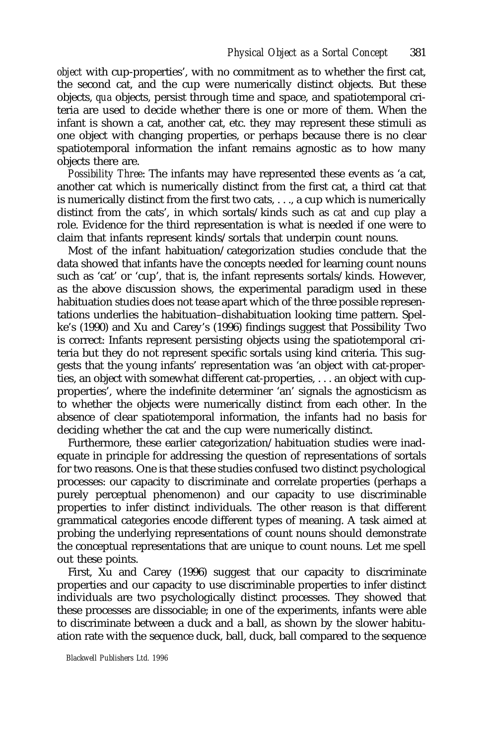*object* with cup-properties', with no commitment as to whether the first cat, the second cat, and the cup were numerically distinct objects. But these objects, *qua* objects, persist through time and space, and spatiotemporal criteria are used to decide whether there is one or more of them. When the infant is shown a cat, another cat, etc. they may represent these stimuli as one object with changing properties, or perhaps because there is no clear spatiotemporal information the infant remains agnostic as to how many objects there are.

*Possibility Three*: The infants may have represented these events as 'a cat, another cat which is numerically distinct from the first cat, a third cat that is numerically distinct from the first two cats, . . ., a cup which is numerically distinct from the cats', in which sortals/kinds such as *cat* and *cup* play a role. Evidence for the third representation is what is needed if one were to claim that infants represent kinds/sortals that underpin count nouns.

Most of the infant habituation/categorization studies conclude that the data showed that infants have the concepts needed for learning count nouns such as 'cat' or 'cup', that is, the infant represents sortals/kinds. However, as the above discussion shows, the experimental paradigm used in these habituation studies does not tease apart which of the three possible representations underlies the habituation–dishabituation looking time pattern. Spelke's (1990) and Xu and Carey's (1996) findings suggest that Possibility Two is correct: Infants represent persisting objects using the spatiotemporal criteria but they do not represent specific sortals using kind criteria. This suggests that the young infants' representation was 'an object with cat-properties, an object with somewhat different cat-properties, . . . an object with cupproperties', where the indefinite determiner 'an' signals the agnosticism as to whether the objects were numerically distinct from each other. In the absence of clear spatiotemporal information, the infants had no basis for deciding whether the cat and the cup were numerically distinct.

Furthermore, these earlier categorization/habituation studies were inadequate in principle for addressing the question of representations of sortals for two reasons. One is that these studies confused two distinct psychological processes: our capacity to discriminate and correlate properties (perhaps a purely perceptual phenomenon) and our capacity to use discriminable properties to infer distinct individuals. The other reason is that different grammatical categories encode different types of meaning. A task aimed at probing the underlying representations of count nouns should demonstrate the conceptual representations that are unique to count nouns. Let me spell out these points.

First, Xu and Carey (1996) suggest that our capacity to discriminate properties and our capacity to use discriminable properties to infer distinct individuals are two psychologically distinct processes. They showed that these processes are dissociable; in one of the experiments, infants were able to discriminate between a duck and a ball, as shown by the slower habituation rate with the sequence duck, ball, duck, ball compared to the sequence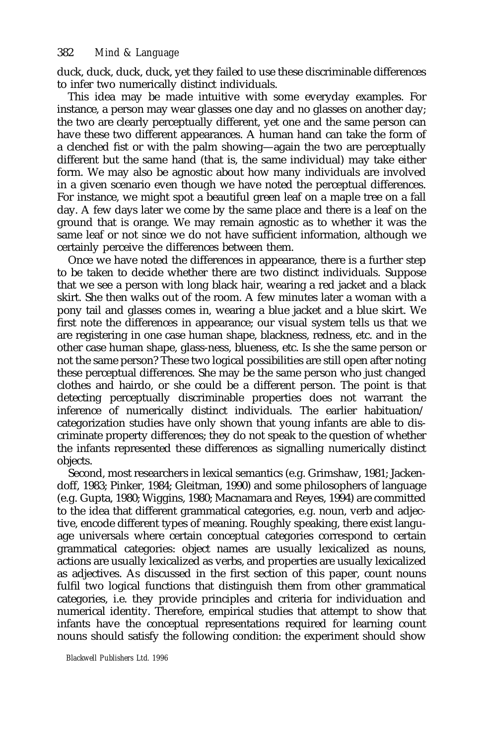duck, duck, duck, duck, yet they failed to use these discriminable differences to infer two numerically distinct individuals.

This idea may be made intuitive with some everyday examples. For instance, a person may wear glasses one day and no glasses on another day; the two are clearly perceptually different, yet one and the same person can have these two different appearances. A human hand can take the form of a clenched fist or with the palm showing—again the two are perceptually different but the same hand (that is, the same individual) may take either form. We may also be agnostic about how many individuals are involved in a given scenario even though we have noted the perceptual differences. For instance, we might spot a beautiful green leaf on a maple tree on a fall day. A few days later we come by the same place and there is a leaf on the ground that is orange. We may remain agnostic as to whether it was the same leaf or not since we do not have sufficient information, although we certainly perceive the differences between them.

Once we have noted the differences in appearance, there is a further step to be taken to decide whether there are two distinct individuals. Suppose that we see a person with long black hair, wearing a red jacket and a black skirt. She then walks out of the room. A few minutes later a woman with a pony tail and glasses comes in, wearing a blue jacket and a blue skirt. We first note the differences in appearance; our visual system tells us that we are registering in one case human shape, blackness, redness, etc. and in the other case human shape, glass-ness, blueness, etc. Is she the same person or not the same person? These two logical possibilities are still open after noting these perceptual differences. She may be the same person who just changed clothes and hairdo, or she could be a different person. The point is that detecting perceptually discriminable properties does not warrant the inference of numerically distinct individuals. The earlier habituation/ categorization studies have only shown that young infants are able to discriminate property differences; they do not speak to the question of whether the infants represented these differences as signalling numerically distinct objects.

Second, most researchers in lexical semantics (e.g. Grimshaw, 1981; Jackendoff, 1983; Pinker, 1984; Gleitman, 1990) and some philosophers of language (e.g. Gupta, 1980; Wiggins, 1980; Macnamara and Reyes, 1994) are committed to the idea that different grammatical categories, e.g. noun, verb and adjective, encode different types of meaning. Roughly speaking, there exist language universals where certain conceptual categories correspond to certain grammatical categories: object names are usually lexicalized as nouns, actions are usually lexicalized as verbs, and properties are usually lexicalized as adjectives. As discussed in the first section of this paper, count nouns fulfil two logical functions that distinguish them from other grammatical categories, i.e. they provide principles and criteria for individuation and numerical identity. Therefore, empirical studies that attempt to show that infants have the conceptual representations required for learning count nouns should satisfy the following condition: the experiment should show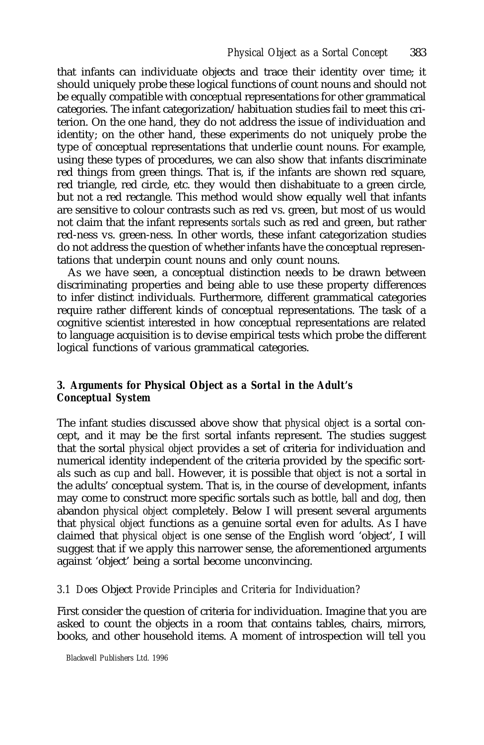that infants can individuate objects and trace their identity over time; it should uniquely probe these logical functions of count nouns and should not be equally compatible with conceptual representations for other grammatical categories. The infant categorization/habituation studies fail to meet this criterion. On the one hand, they do not address the issue of individuation and identity; on the other hand, these experiments do not uniquely probe the type of conceptual representations that underlie count nouns. For example, using these types of procedures, we can also show that infants discriminate red things from green things. That is, if the infants are shown red square, red triangle, red circle, etc. they would then dishabituate to a green circle, but not a red rectangle. This method would show equally well that infants are sensitive to colour contrasts such as red vs. green, but most of us would not claim that the infant represents *sortals* such as red and green, but rather red-ness vs. green-ness. In other words, these infant categorization studies do not address the question of whether infants have the conceptual representations that underpin count nouns and only count nouns.

As we have seen, a conceptual distinction needs to be drawn between discriminating properties and being able to use these property differences to infer distinct individuals. Furthermore, different grammatical categories require rather different kinds of conceptual representations. The task of a cognitive scientist interested in how conceptual representations are related to language acquisition is to devise empirical tests which probe the different logical functions of various grammatical categories.

# *3. Arguments for* **Physical Object** *as a Sortal in the Adult's Conceptual System*

The infant studies discussed above show that *physical object* is a sortal concept, and it may be the *first* sortal infants represent. The studies suggest that the sortal *physical object* provides a set of criteria for individuation and numerical identity independent of the criteria provided by the specific sortals such as *cup* and *ball*. However, it is possible that *object* is not a sortal in the adults' conceptual system. That is, in the course of development, infants may come to construct more specific sortals such as *bottle*, *ball* and *dog*, then abandon *physical object* completely. Below I will present several arguments that *physical object* functions as a genuine sortal even for adults. As I have claimed that *physical object* is one sense of the English word 'object', I will suggest that if we apply this narrower sense, the aforementioned arguments against 'object' being a sortal become unconvincing.

### *3.1 Does* Object *Provide Principles and Criteria for Individuation?*

First consider the question of criteria for individuation. Imagine that you are asked to count the objects in a room that contains tables, chairs, mirrors, books, and other household items. A moment of introspection will tell you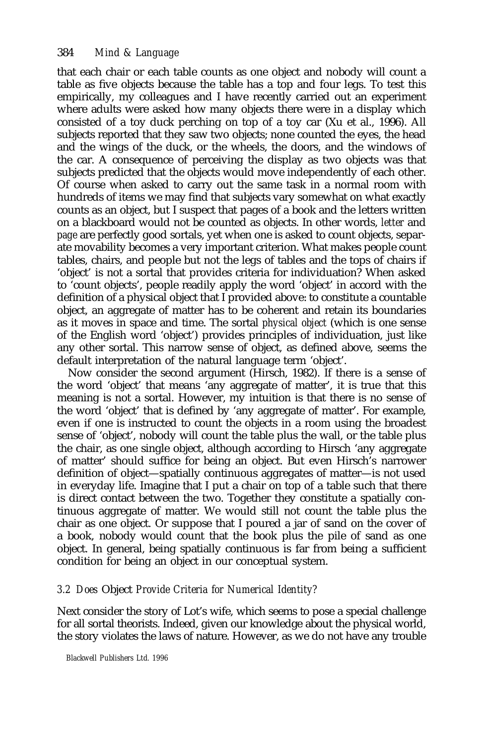that each chair or each table counts as one object and nobody will count a table as five objects because the table has a top and four legs. To test this empirically, my colleagues and I have recently carried out an experiment where adults were asked how many objects there were in a display which consisted of a toy duck perching on top of a toy car (Xu et al., 1996). All subjects reported that they saw two objects; none counted the eyes, the head and the wings of the duck, or the wheels, the doors, and the windows of the car. A consequence of perceiving the display as two objects was that subjects predicted that the objects would move independently of each other. Of course when asked to carry out the same task in a normal room with hundreds of items we may find that subjects vary somewhat on what exactly counts as an object, but I suspect that pages of a book and the letters written on a blackboard would not be counted as objects. In other words, *letter* and *page* are perfectly good sortals, yet when one is asked to count objects, separate movability becomes a very important criterion. What makes people count tables, chairs, and people but not the legs of tables and the tops of chairs if 'object' is not a sortal that provides criteria for individuation? When asked to 'count objects', people readily apply the word 'object' in accord with the definition of a physical object that I provided above: to constitute a countable object, an aggregate of matter has to be coherent and retain its boundaries as it moves in space and time. The sortal *physical object* (which is one sense of the English word 'object') provides principles of individuation, just like any other sortal. This narrow sense of object, as defined above, seems the default interpretation of the natural language term 'object'.

Now consider the second argument (Hirsch, 1982). If there is a sense of the word 'object' that means 'any aggregate of matter', it is true that this meaning is not a sortal. However, my intuition is that there is no sense of the word 'object' that is defined by 'any aggregate of matter'. For example, even if one is instructed to count the objects in a room using the broadest sense of 'object', nobody will count the table plus the wall, or the table plus the chair, as one single object, although according to Hirsch 'any aggregate of matter' should suffice for being an object. But even Hirsch's narrower definition of object—spatially continuous aggregates of matter—is not used in everyday life. Imagine that I put a chair on top of a table such that there is direct contact between the two. Together they constitute a spatially continuous aggregate of matter. We would still not count the table plus the chair as one object. Or suppose that I poured a jar of sand on the cover of a book, nobody would count that the book plus the pile of sand as one object. In general, being spatially continuous is far from being a sufficient condition for being an object in our conceptual system.

# *3.2 Does* Object *Provide Criteria for Numerical Identity?*

Next consider the story of Lot's wife, which seems to pose a special challenge for all sortal theorists. Indeed, given our knowledge about the physical world, the story violates the laws of nature. However, as we do not have any trouble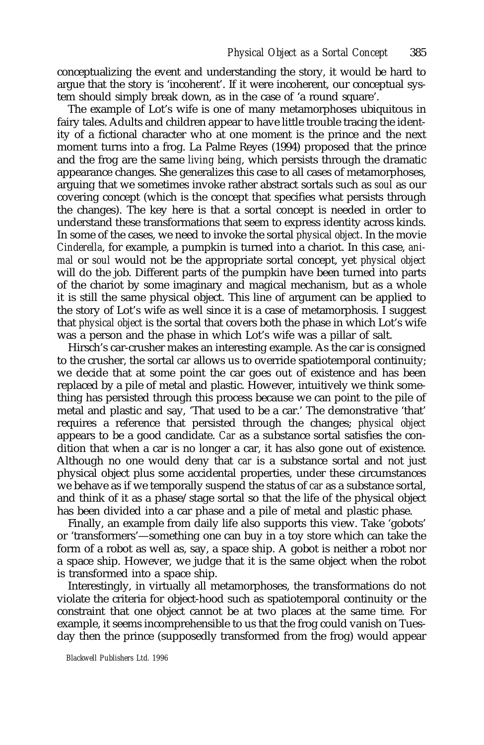conceptualizing the event and understanding the story, it would be hard to argue that the story is 'incoherent'. If it were incoherent, our conceptual system should simply break down, as in the case of 'a round square'.

The example of Lot's wife is one of many metamorphoses ubiquitous in fairy tales. Adults and children appear to have little trouble tracing the identity of a fictional character who at one moment is the prince and the next moment turns into a frog. La Palme Reyes (1994) proposed that the prince and the frog are the same *living being*, which persists through the dramatic appearance changes. She generalizes this case to all cases of metamorphoses, arguing that we sometimes invoke rather abstract sortals such as *soul* as our covering concept (which is the concept that specifies what persists through the changes). The key here is that a sortal concept is needed in order to understand these transformations that seem to express identity across kinds. In some of the cases, we need to invoke the sortal *physical object*. In the movie *Cinderella*, for example, a pumpkin is turned into a chariot. In this case, *animal* or *soul* would not be the appropriate sortal concept, yet *physical object* will do the job. Different parts of the pumpkin have been turned into parts of the chariot by some imaginary and magical mechanism, but as a whole it is still the same physical object. This line of argument can be applied to the story of Lot's wife as well since it is a case of metamorphosis. I suggest that *physical object* is the sortal that covers both the phase in which Lot's wife was a person and the phase in which Lot's wife was a pillar of salt.

Hirsch's car-crusher makes an interesting example. As the car is consigned to the crusher, the sortal *car* allows us to override spatiotemporal continuity; we decide that at some point the car goes out of existence and has been replaced by a pile of metal and plastic. However, intuitively we think something has persisted through this process because we can point to the pile of metal and plastic and say, 'That used to be a car.' The demonstrative 'that' requires a reference that persisted through the changes; *physical object* appears to be a good candidate. *Car* as a substance sortal satisfies the condition that when a car is no longer a car, it has also gone out of existence. Although no one would deny that *car* is a substance sortal and not just physical object plus some accidental properties, under these circumstances we behave as if we temporally suspend the status of *car* as a substance sortal, and think of it as a phase/stage sortal so that the life of the physical object has been divided into a car phase and a pile of metal and plastic phase.

Finally, an example from daily life also supports this view. Take 'gobots' or 'transformers'—something one can buy in a toy store which can take the form of a robot as well as, say, a space ship. A gobot is neither a robot nor a space ship. However, we judge that it is the same object when the robot is transformed into a space ship.

Interestingly, in virtually all metamorphoses, the transformations do not violate the criteria for object-hood such as spatiotemporal continuity or the constraint that one object cannot be at two places at the same time. For example, it seems incomprehensible to us that the frog could vanish on Tuesday then the prince (supposedly transformed from the frog) would appear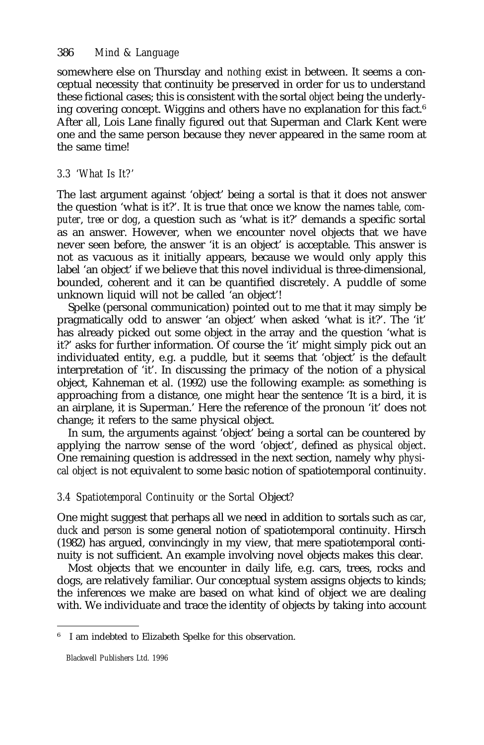somewhere else on Thursday and *nothing* exist in between. It seems a conceptual necessity that continuity be preserved in order for us to understand these fictional cases; this is consistent with the sortal *object* being the underlying covering concept. Wiggins and others have no explanation for this fact.<sup>6</sup> After all, Lois Lane finally figured out that Superman and Clark Kent were one and the same person because they never appeared in the same room at the same time!

# *3.3 'What Is It?'*

The last argument against 'object' being a sortal is that it does not answer the question 'what is it?'. It is true that once we know the names *table*, *computer*, *tree* or *dog*, a question such as 'what is it?' demands a specific sortal as an answer. However, when we encounter novel objects that we have never seen before, the answer 'it is an object' is acceptable. This answer is not as vacuous as it initially appears, because we would only apply this label 'an object' if we believe that this novel individual is three-dimensional, bounded, coherent and it can be quantified discretely. A puddle of some unknown liquid will not be called 'an object'!

Spelke (personal communication) pointed out to me that it may simply be pragmatically odd to answer 'an object' when asked 'what is it?'. The 'it' has already picked out some object in the array and the question 'what is it?' asks for further information. Of course the 'it' might simply pick out an individuated entity, e.g. a puddle, but it seems that 'object' is the default interpretation of 'it'. In discussing the primacy of the notion of a physical object, Kahneman et al. (1992) use the following example: as something is approaching from a distance, one might hear the sentence 'It is a bird, it is an airplane, it is Superman.' Here the reference of the pronoun 'it' does not change; it refers to the same physical object.

In sum, the arguments against 'object' being a sortal can be countered by applying the narrow sense of the word 'object', defined as *physical object*. One remaining question is addressed in the next section, namely why *physical object* is not equivalent to some basic notion of spatiotemporal continuity.

# *3.4 Spatiotemporal Continuity or the Sortal* Object*?*

One might suggest that perhaps all we need in addition to sortals such as *car*, *duck* and *person* is some general notion of spatiotemporal continuity. Hirsch (1982) has argued, convincingly in my view, that mere spatiotemporal continuity is not sufficient. An example involving novel objects makes this clear.

Most objects that we encounter in daily life, e.g. cars, trees, rocks and dogs, are relatively familiar. Our conceptual system assigns objects to kinds; the inferences we make are based on what kind of object we are dealing with. We individuate and trace the identity of objects by taking into account

I am indebted to Elizabeth Spelke for this observation.

*Blackwell Publishers Ltd. 1996*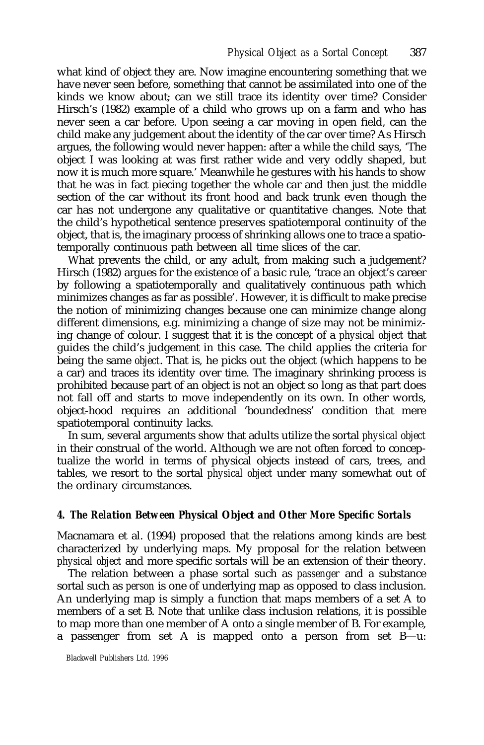what kind of object they are. Now imagine encountering something that we have never seen before, something that cannot be assimilated into one of the kinds we know about; can we still trace its identity over time? Consider Hirsch's (1982) example of a child who grows up on a farm and who has never seen a car before. Upon seeing a car moving in open field, can the child make any judgement about the identity of the car over time? As Hirsch argues, the following would never happen: after a while the child says, 'The object I was looking at was first rather wide and very oddly shaped, but now it is much more square.' Meanwhile he gestures with his hands to show that he was in fact piecing together the whole car and then just the middle section of the car without its front hood and back trunk even though the car has not undergone any qualitative or quantitative changes. Note that the child's hypothetical sentence preserves spatiotemporal continuity of the object, that is, the imaginary process of shrinking allows one to trace a spatiotemporally continuous path between all time slices of the car.

What prevents the child, or any adult, from making such a judgement? Hirsch (1982) argues for the existence of a basic rule, 'trace an object's career by following a spatiotemporally and qualitatively continuous path which minimizes changes as far as possible'. However, it is difficult to make precise the notion of minimizing changes because one can minimize change along different dimensions, e.g. minimizing a change of size may not be minimizing change of colour. I suggest that it is the concept of a *physical object* that guides the child's judgement in this case. The child applies the criteria for being the same *object*. That is, he picks out the object (which happens to be a car) and traces its identity over time. The imaginary shrinking process is prohibited because part of an object is not an object so long as that part does not fall off and starts to move independently on its own. In other words, object-hood requires an additional 'boundedness' condition that mere spatiotemporal continuity lacks.

In sum, several arguments show that adults utilize the sortal *physical object* in their construal of the world. Although we are not often forced to conceptualize the world in terms of physical objects instead of cars, trees, and tables, we resort to the sortal *physical object* under many somewhat out of the ordinary circumstances.

# *4. The Relation Between* **Physical Object** *and Other More Specific Sortals*

Macnamara et al. (1994) proposed that the relations among kinds are best characterized by underlying maps. My proposal for the relation between *physical object* and more specific sortals will be an extension of their theory.

The relation between a phase sortal such as *passenger* and a substance sortal such as *person* is one of underlying map as opposed to class inclusion. An underlying map is simply a function that maps members of a set A to members of a set B. Note that unlike class inclusion relations, it is possible to map more than one member of A onto a single member of B. For example, a passenger from set A is mapped onto a person from set B—u: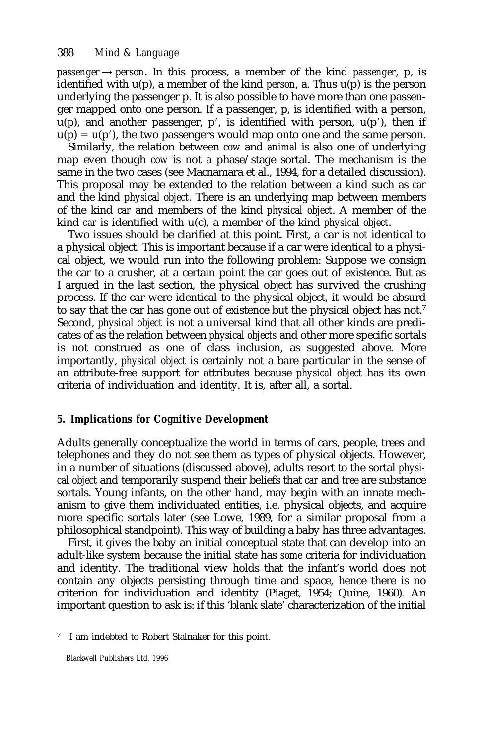*passenger* → *person*. In this process, a member of the kind *passenger*, p, is identified with u(p), a member of the kind *person*, a. Thus u(p) is the person underlying the passenger p. It is also possible to have more than one passenger mapped onto one person. If a passenger, p, is identified with a person,  $u(p)$ , and another passenger, p', is identified with person,  $u(p')$ , then if  $u(p) = u(p)$ , the two passengers would map onto one and the same person.

Similarly, the relation between *cow* and *animal* is also one of underlying map even though *cow* is not a phase/stage sortal. The mechanism is the same in the two cases (see Macnamara et al., 1994, for a detailed discussion). This proposal may be extended to the relation between a kind such as *car* and the kind *physical object*. There is an underlying map between members of the kind *car* and members of the kind *physical object*. A member of the kind *car* is identified with u(c), a member of the kind *physical object*.

Two issues should be clarified at this point. First, a car is *not* identical to a physical object. This is important because if a car were identical to a physical object, we would run into the following problem: Suppose we consign the car to a crusher, at a certain point the car goes out of existence. But as I argued in the last section, the physical object has survived the crushing process. If the car were identical to the physical object, it would be absurd to say that the car has gone out of existence but the physical object has not.7 Second, *physical object* is not a universal kind that all other kinds are predicates of as the relation between *physical objects* and other more specific sortals is not construed as one of class inclusion, as suggested above. More importantly, *physical object* is certainly not a bare particular in the sense of an attribute-free support for attributes because *physical object* has its own criteria of individuation and identity. It is, after all, a sortal.

## *5. Implications for Cognitive Development*

Adults generally conceptualize the world in terms of cars, people, trees and telephones and they do not see them as types of physical objects. However, in a number of situations (discussed above), adults resort to the sortal *physical object* and temporarily suspend their beliefs that *car* and *tree* are substance sortals. Young infants, on the other hand, may begin with an innate mechanism to give them individuated entities, i.e. physical objects, and acquire more specific sortals later (see Lowe, 1989, for a similar proposal from a philosophical standpoint). This way of building a baby has three advantages.

First, it gives the baby an initial conceptual state that can develop into an adult-like system because the initial state has *some* criteria for individuation and identity. The traditional view holds that the infant's world does not contain any objects persisting through time and space, hence there is no criterion for individuation and identity (Piaget, 1954; Quine, 1960). An important question to ask is: if this 'blank slate' characterization of the initial

<sup>7</sup> I am indebted to Robert Stalnaker for this point.

*Blackwell Publishers Ltd. 1996*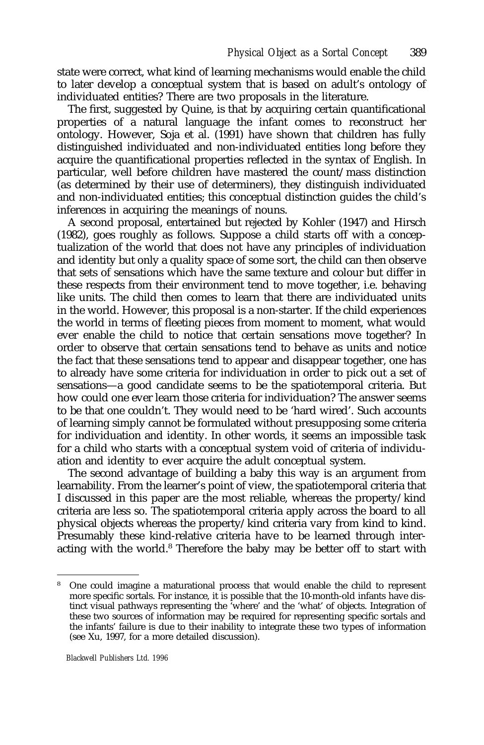state were correct, what kind of learning mechanisms would enable the child to later develop a conceptual system that is based on adult's ontology of individuated entities? There are two proposals in the literature.

The first, suggested by Quine, is that by acquiring certain quantificational properties of a natural language the infant comes to reconstruct her ontology. However, Soja et al. (1991) have shown that children has fully distinguished individuated and non-individuated entities long before they acquire the quantificational properties reflected in the syntax of English. In particular, well before children have mastered the count/mass distinction (as determined by their use of determiners), they distinguish individuated and non-individuated entities; this conceptual distinction guides the child's inferences in acquiring the meanings of nouns.

A second proposal, entertained but rejected by Kohler (1947) and Hirsch (1982), goes roughly as follows. Suppose a child starts off with a conceptualization of the world that does not have any principles of individuation and identity but only a quality space of some sort, the child can then observe that sets of sensations which have the same texture and colour but differ in these respects from their environment tend to move together, i.e. behaving like units. The child then comes to learn that there are individuated units in the world. However, this proposal is a non-starter. If the child experiences the world in terms of fleeting pieces from moment to moment, what would ever enable the child to notice that certain sensations move together? In order to observe that certain sensations tend to behave as units and notice the fact that these sensations tend to appear and disappear together, one has to already have some criteria for individuation in order to pick out a set of sensations—a good candidate seems to be the spatiotemporal criteria. But how could one ever learn those criteria for individuation? The answer seems to be that one couldn't. They would need to be 'hard wired'. Such accounts of learning simply cannot be formulated without presupposing some criteria for individuation and identity. In other words, it seems an impossible task for a child who starts with a conceptual system void of criteria of individuation and identity to ever acquire the adult conceptual system.

The second advantage of building a baby this way is an argument from learnability. From the learner's point of view, the spatiotemporal criteria that I discussed in this paper are the most reliable, whereas the property/kind criteria are less so. The spatiotemporal criteria apply across the board to all physical objects whereas the property/kind criteria vary from kind to kind. Presumably these kind-relative criteria have to be learned through interacting with the world.<sup>8</sup> Therefore the baby may be better off to start with

<sup>8</sup> One could imagine a maturational process that would enable the child to represent more specific sortals. For instance, it is possible that the 10-month-old infants have distinct visual pathways representing the 'where' and the 'what' of objects. Integration of these two sources of information may be required for representing specific sortals and the infants' failure is due to their inability to integrate these two types of information (see Xu, 1997, for a more detailed discussion).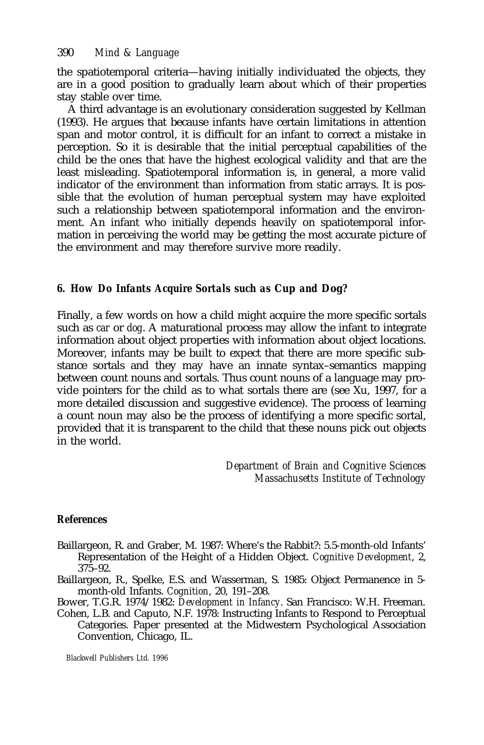the spatiotemporal criteria—having initially individuated the objects, they are in a good position to gradually learn about which of their properties stay stable over time.

A third advantage is an evolutionary consideration suggested by Kellman (1993). He argues that because infants have certain limitations in attention span and motor control, it is difficult for an infant to correct a mistake in perception. So it is desirable that the initial perceptual capabilities of the child be the ones that have the highest ecological validity and that are the least misleading. Spatiotemporal information is, in general, a more valid indicator of the environment than information from static arrays. It is possible that the evolution of human perceptual system may have exploited such a relationship between spatiotemporal information and the environment. An infant who initially depends heavily on spatiotemporal information in perceiving the world may be getting the most accurate picture of the environment and may therefore survive more readily.

# *6. How Do Infants Acquire Sortals such as* **Cup** *and* **Dog***?*

Finally, a few words on how a child might acquire the more specific sortals such as *car* or *dog*. A maturational process may allow the infant to integrate information about object properties with information about object locations. Moreover, infants may be built to expect that there are more specific substance sortals and they may have an innate syntax–semantics mapping between count nouns and sortals. Thus count nouns of a language may provide pointers for the child as to what sortals there are (see Xu, 1997, for a more detailed discussion and suggestive evidence). The process of learning a count noun may also be the process of identifying a more specific sortal, provided that it is transparent to the child that these nouns pick out objects in the world.

> *Department of Brain and Cognitive Sciences Massachusetts Institute of Technology*

# *References*

- Baillargeon, R. and Graber, M. 1987: Where's the Rabbit?: 5.5-month-old Infants' Representation of the Height of a Hidden Object. *Cognitive Development*, 2, 375–92.
- Baillargeon, R., Spelke, E.S. and Wasserman, S. 1985: Object Permanence in 5 month-old Infants. *Cognition*, 20, 191–208.
- Bower, T.G.R. 1974/1982: *Development in Infancy*. San Francisco: W.H. Freeman.
- Cohen, L.B. and Caputo, N.F. 1978: Instructing Infants to Respond to Perceptual Categories. Paper presented at the Midwestern Psychological Association Convention, Chicago, IL.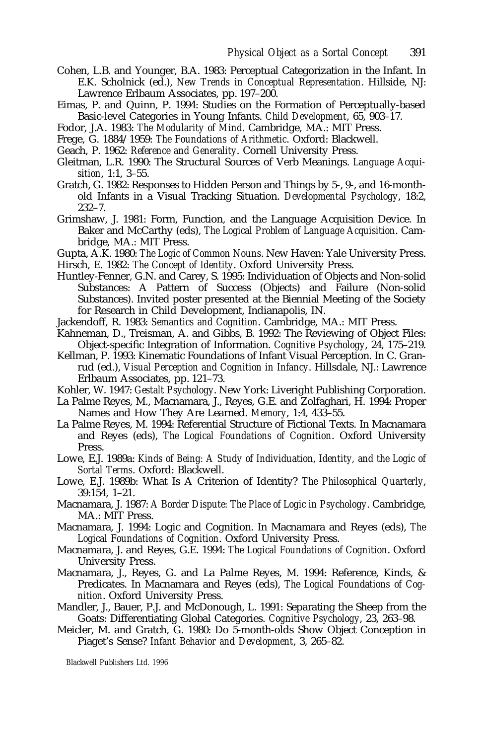- Cohen, L.B. and Younger, B.A. 1983: Perceptual Categorization in the Infant. In E.K. Scholnick (ed.), *New Trends in Conceptual Representation*. Hillside, NJ: Lawrence Erlbaum Associates, pp. 197–200.
- Eimas, P. and Quinn, P. 1994: Studies on the Formation of Perceptually-based Basic-level Categories in Young Infants. *Child Development*, 65, 903–17.
- Fodor, J.A. 1983: *The Modularity of Mind*. Cambridge, MA.: MIT Press.
- Frege, G. 1884/1959: *The Foundations of Arithmetic*. Oxford: Blackwell.
- Geach, P. 1962: *Reference and Generality*. Cornell University Press.
- Gleitman, L.R. 1990: The Structural Sources of Verb Meanings. *Language Acquisition*, 1:1, 3–55.
- Gratch, G. 1982: Responses to Hidden Person and Things by 5-, 9-, and 16-monthold Infants in a Visual Tracking Situation. *Developmental Psychology*, 18:2, 232–7.
- Grimshaw, J. 1981: Form, Function, and the Language Acquisition Device. In Baker and McCarthy (eds), *The Logical Problem of Language Acquisition*. Cambridge, MA.: MIT Press.
- Gupta, A.K. 1980: *The Logic of Common Nouns*. New Haven: Yale University Press.
- Hirsch, E. 1982: *The Concept of Identity*. Oxford University Press.
- Huntley-Fenner, G.N. and Carey, S. 1995: Individuation of Objects and Non-solid Substances: A Pattern of Success (Objects) and Failure (Non-solid Substances). Invited poster presented at the Biennial Meeting of the Society for Research in Child Development, Indianapolis, IN.
- Jackendoff, R. 1983: *Semantics and Cognition*. Cambridge, MA.: MIT Press.
- Kahneman, D., Treisman, A. and Gibbs, B. 1992: The Reviewing of Object Files: Object-specific Integration of Information. *Cognitive Psychology*, 24, 175–219.
- Kellman, P. 1993: Kinematic Foundations of Infant Visual Perception. In C. Granrud (ed.), *Visual Perception and Cognition in Infancy*. Hillsdale, NJ.: Lawrence Erlbaum Associates, pp. 121–73.
- Kohler, W. 1947: *Gestalt Psychology*. New York: Liveright Publishing Corporation.
- La Palme Reyes, M., Macnamara, J., Reyes, G.E. and Zolfaghari, H. 1994: Proper Names and How They Are Learned. *Memory*, 1:4, 433–55.
- La Palme Reyes, M. 1994: Referential Structure of Fictional Texts. In Macnamara and Reyes (eds), *The Logical Foundations of Cognition*. Oxford University Press.
- Lowe, E.J. 1989a: *Kinds of Being: A Study of Individuation, Identity, and the Logic of Sortal Terms*. Oxford: Blackwell.
- Lowe, E.J. 1989b: What Is A Criterion of Identity? *The Philosophical Quarterly*, 39:154, 1–21.
- Macnamara, J. 1987: *A Border Dispute: The Place of Logic in Psychology*. Cambridge, MA.: MIT Press.
- Macnamara, J. 1994: Logic and Cognition. In Macnamara and Reyes (eds), *The Logical Foundations of Cognition*. Oxford University Press.
- Macnamara, J. and Reyes, G.E. 1994: *The Logical Foundations of Cognition*. Oxford University Press.
- Macnamara, J., Reyes, G. and La Palme Reyes, M. 1994: Reference, Kinds, & Predicates. In Macnamara and Reyes (eds), *The Logical Foundations of Cognition*. Oxford University Press.
- Mandler, J., Bauer, P.J. and McDonough, L. 1991: Separating the Sheep from the Goats: Differentiating Global Categories. *Cognitive Psychology*, 23, 263–98.
- Meicler, M. and Gratch, G. 1980: Do 5-month-olds Show Object Conception in Piaget's Sense? *Infant Behavior and Development*, 3, 265–82.